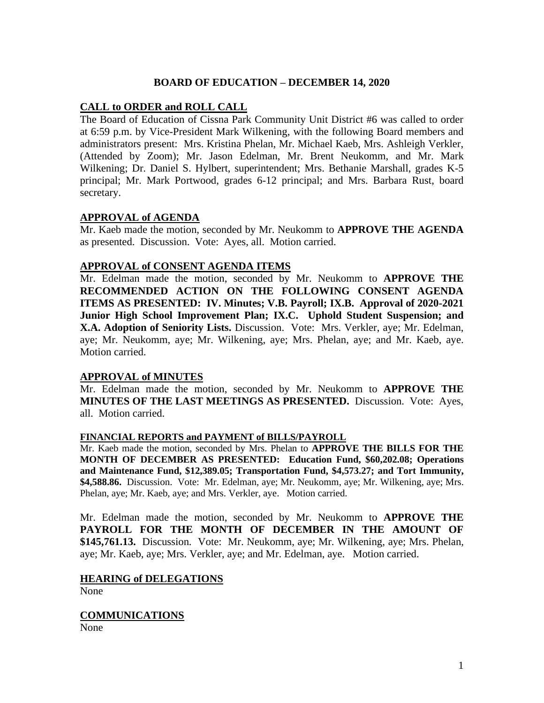## **BOARD OF EDUCATION – DECEMBER 14, 2020**

#### **CALL to ORDER and ROLL CALL**

The Board of Education of Cissna Park Community Unit District #6 was called to order at 6:59 p.m. by Vice-President Mark Wilkening, with the following Board members and administrators present: Mrs. Kristina Phelan, Mr. Michael Kaeb, Mrs. Ashleigh Verkler, (Attended by Zoom); Mr. Jason Edelman, Mr. Brent Neukomm, and Mr. Mark Wilkening; Dr. Daniel S. Hylbert, superintendent; Mrs. Bethanie Marshall, grades K-5 principal; Mr. Mark Portwood, grades 6-12 principal; and Mrs. Barbara Rust, board secretary.

## **APPROVAL of AGENDA**

Mr. Kaeb made the motion, seconded by Mr. Neukomm to **APPROVE THE AGENDA** as presented. Discussion. Vote: Ayes, all. Motion carried.

## **APPROVAL of CONSENT AGENDA ITEMS**

Mr. Edelman made the motion, seconded by Mr. Neukomm to **APPROVE THE RECOMMENDED ACTION ON THE FOLLOWING CONSENT AGENDA ITEMS AS PRESENTED: IV. Minutes; V.B. Payroll; IX.B. Approval of 2020-2021 Junior High School Improvement Plan; IX.C. Uphold Student Suspension; and X.A. Adoption of Seniority Lists.** Discussion. Vote: Mrs. Verkler, aye; Mr. Edelman, aye; Mr. Neukomm, aye; Mr. Wilkening, aye; Mrs. Phelan, aye; and Mr. Kaeb, aye. Motion carried.

## **APPROVAL of MINUTES**

Mr. Edelman made the motion, seconded by Mr. Neukomm to **APPROVE THE MINUTES OF THE LAST MEETINGS AS PRESENTED.** Discussion. Vote: Ayes, all. Motion carried.

#### **FINANCIAL REPORTS and PAYMENT of BILLS/PAYROLL**

Mr. Kaeb made the motion, seconded by Mrs. Phelan to **APPROVE THE BILLS FOR THE MONTH OF DECEMBER AS PRESENTED: Education Fund, \$60,202.08; Operations and Maintenance Fund, \$12,389.05; Transportation Fund, \$4,573.27; and Tort Immunity, \$4,588.86.** Discussion. Vote: Mr. Edelman, aye; Mr. Neukomm, aye; Mr. Wilkening, aye; Mrs. Phelan, aye; Mr. Kaeb, aye; and Mrs. Verkler, aye. Motion carried.

Mr. Edelman made the motion, seconded by Mr. Neukomm to **APPROVE THE PAYROLL FOR THE MONTH OF DECEMBER IN THE AMOUNT OF \$145,761.13.** Discussion. Vote: Mr. Neukomm, aye; Mr. Wilkening, aye; Mrs. Phelan, aye; Mr. Kaeb, aye; Mrs. Verkler, aye; and Mr. Edelman, aye. Motion carried.

## **HEARING of DELEGATIONS**

None

**COMMUNICATIONS**

None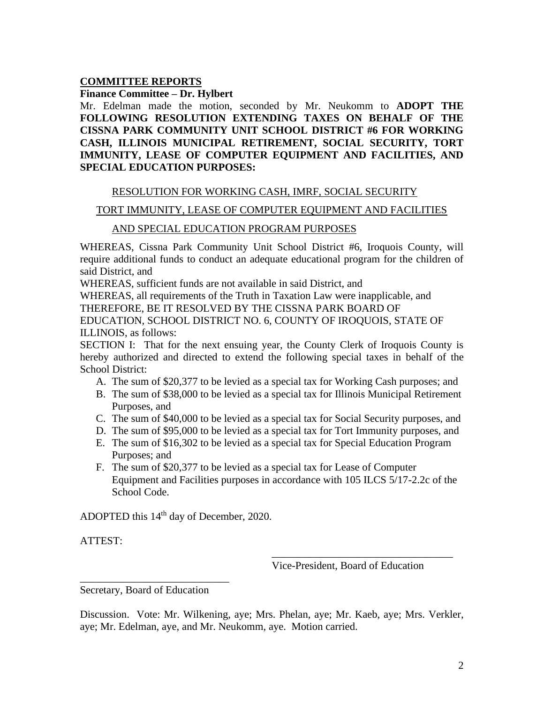## **COMMITTEE REPORTS**

**Finance Committee – Dr. Hylbert**

Mr. Edelman made the motion, seconded by Mr. Neukomm to **ADOPT THE FOLLOWING RESOLUTION EXTENDING TAXES ON BEHALF OF THE CISSNA PARK COMMUNITY UNIT SCHOOL DISTRICT #6 FOR WORKING CASH, ILLINOIS MUNICIPAL RETIREMENT, SOCIAL SECURITY, TORT IMMUNITY, LEASE OF COMPUTER EQUIPMENT AND FACILITIES, AND SPECIAL EDUCATION PURPOSES:**

## RESOLUTION FOR WORKING CASH, IMRF, SOCIAL SECURITY

## TORT IMMUNITY, LEASE OF COMPUTER EQUIPMENT AND FACILITIES

## AND SPECIAL EDUCATION PROGRAM PURPOSES

WHEREAS, Cissna Park Community Unit School District #6, Iroquois County, will require additional funds to conduct an adequate educational program for the children of said District, and

WHEREAS, sufficient funds are not available in said District, and

WHEREAS, all requirements of the Truth in Taxation Law were inapplicable, and THEREFORE, BE IT RESOLVED BY THE CISSNA PARK BOARD OF EDUCATION, SCHOOL DISTRICT NO. 6, COUNTY OF IROQUOIS, STATE OF ILLINOIS, as follows:

SECTION I: That for the next ensuing year, the County Clerk of Iroquois County is hereby authorized and directed to extend the following special taxes in behalf of the School District:

- A. The sum of \$20,377 to be levied as a special tax for Working Cash purposes; and
- B. The sum of \$38,000 to be levied as a special tax for Illinois Municipal Retirement Purposes, and
- C. The sum of \$40,000 to be levied as a special tax for Social Security purposes, and
- D. The sum of \$95,000 to be levied as a special tax for Tort Immunity purposes, and
- E. The sum of \$16,302 to be levied as a special tax for Special Education Program Purposes; and
- F. The sum of \$20,377 to be levied as a special tax for Lease of Computer Equipment and Facilities purposes in accordance with 105 ILCS 5/17-2.2c of the School Code.

ADOPTED this 14<sup>th</sup> day of December, 2020.

ATTEST:

Vice-President, Board of Education

\_\_\_\_\_\_\_\_\_\_\_\_\_\_\_\_\_\_\_\_\_\_\_\_\_\_\_\_\_\_\_\_\_\_

Secretary, Board of Education

\_\_\_\_\_\_\_\_\_\_\_\_\_\_\_\_\_\_\_\_\_\_\_\_\_\_\_\_

Discussion. Vote: Mr. Wilkening, aye; Mrs. Phelan, aye; Mr. Kaeb, aye; Mrs. Verkler, aye; Mr. Edelman, aye, and Mr. Neukomm, aye. Motion carried.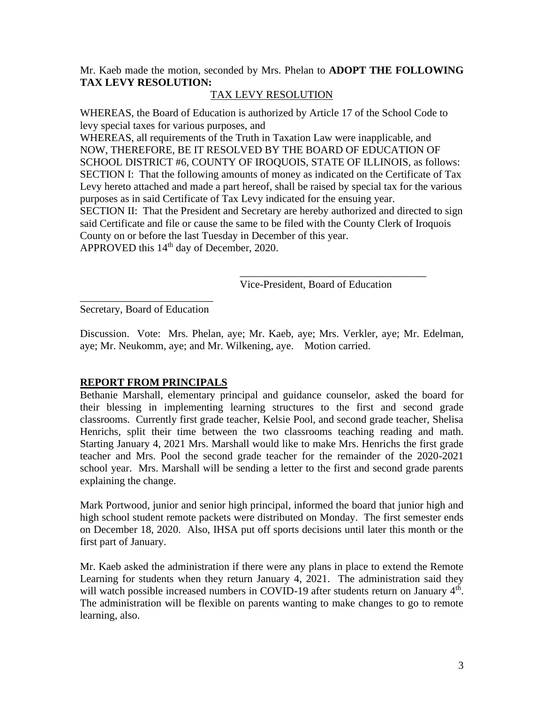Mr. Kaeb made the motion, seconded by Mrs. Phelan to **ADOPT THE FOLLOWING TAX LEVY RESOLUTION:**

# TAX LEVY RESOLUTION

WHEREAS, the Board of Education is authorized by Article 17 of the School Code to levy special taxes for various purposes, and

WHEREAS, all requirements of the Truth in Taxation Law were inapplicable, and NOW, THEREFORE, BE IT RESOLVED BY THE BOARD OF EDUCATION OF SCHOOL DISTRICT #6, COUNTY OF IROQUOIS, STATE OF ILLINOIS, as follows: SECTION I: That the following amounts of money as indicated on the Certificate of Tax Levy hereto attached and made a part hereof, shall be raised by special tax for the various purposes as in said Certificate of Tax Levy indicated for the ensuing year. SECTION II: That the President and Secretary are hereby authorized and directed to sign said Certificate and file or cause the same to be filed with the County Clerk of Iroquois County on or before the last Tuesday in December of this year.

APPROVED this 14<sup>th</sup> day of December, 2020.

Vice-President, Board of Education

\_\_\_\_\_\_\_\_\_\_\_\_\_\_\_\_\_\_\_\_\_\_\_\_\_\_\_\_\_\_\_\_\_\_\_

\_\_\_\_\_\_\_\_\_\_\_\_\_\_\_\_\_\_\_\_\_\_\_\_\_ Secretary, Board of Education

Discussion. Vote: Mrs. Phelan, aye; Mr. Kaeb, aye; Mrs. Verkler, aye; Mr. Edelman, aye; Mr. Neukomm, aye; and Mr. Wilkening, aye. Motion carried.

## **REPORT FROM PRINCIPALS**

Bethanie Marshall, elementary principal and guidance counselor, asked the board for their blessing in implementing learning structures to the first and second grade classrooms. Currently first grade teacher, Kelsie Pool, and second grade teacher, Shelisa Henrichs, split their time between the two classrooms teaching reading and math. Starting January 4, 2021 Mrs. Marshall would like to make Mrs. Henrichs the first grade teacher and Mrs. Pool the second grade teacher for the remainder of the 2020-2021 school year. Mrs. Marshall will be sending a letter to the first and second grade parents explaining the change.

Mark Portwood, junior and senior high principal, informed the board that junior high and high school student remote packets were distributed on Monday. The first semester ends on December 18, 2020. Also, IHSA put off sports decisions until later this month or the first part of January.

Mr. Kaeb asked the administration if there were any plans in place to extend the Remote Learning for students when they return January 4, 2021. The administration said they will watch possible increased numbers in COVID-19 after students return on January 4<sup>th</sup>. The administration will be flexible on parents wanting to make changes to go to remote learning, also.